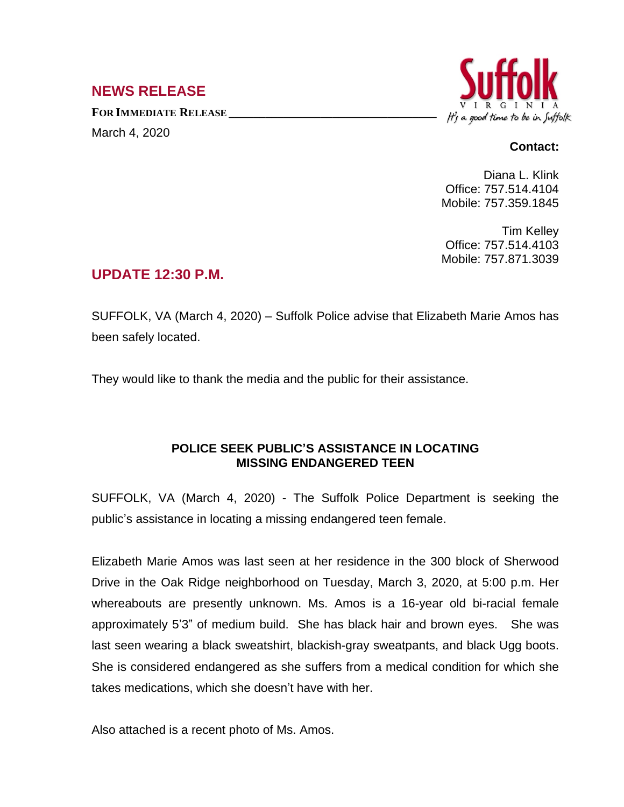## **NEWS RELEASE**

**FOR IMMEDIATE RELEASE \_\_\_\_\_\_\_\_\_\_\_\_\_\_\_\_\_\_\_\_\_\_\_\_\_\_\_\_\_\_\_\_\_\_** March 4, 2020



## **Contact:**

Diana L. Klink Office: 757.514.4104 Mobile: 757.359.1845

Tim Kelley Office: 757.514.4103 Mobile: 757.871.3039

## **UPDATE 12:30 P.M.**

SUFFOLK, VA (March 4, 2020) – Suffolk Police advise that Elizabeth Marie Amos has been safely located.

They would like to thank the media and the public for their assistance.

## **POLICE SEEK PUBLIC'S ASSISTANCE IN LOCATING MISSING ENDANGERED TEEN**

SUFFOLK, VA (March 4, 2020) - The Suffolk Police Department is seeking the public's assistance in locating a missing endangered teen female.

Elizabeth Marie Amos was last seen at her residence in the 300 block of Sherwood Drive in the Oak Ridge neighborhood on Tuesday, March 3, 2020, at 5:00 p.m. Her whereabouts are presently unknown. Ms. Amos is a 16-year old bi-racial female approximately 5'3" of medium build. She has black hair and brown eyes. She was last seen wearing a black sweatshirt, blackish-gray sweatpants, and black Ugg boots. She is considered endangered as she suffers from a medical condition for which she takes medications, which she doesn't have with her.

Also attached is a recent photo of Ms. Amos.